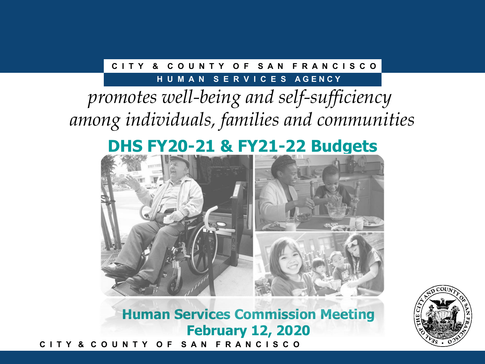### **C I T Y & C O U N T Y O F S A N F R A N C I S C O**

#### **HUMAN SERVICES AGENCY**

# *promotes well-being and self-sufficiency among individuals, families and communities*

## **DHS FY20-21 & FY21-22 Budgets**



**C I T Y & C O U N T Y O F S A N F R A N C I S C O Human Services Commission Meeting February 12, 2020**

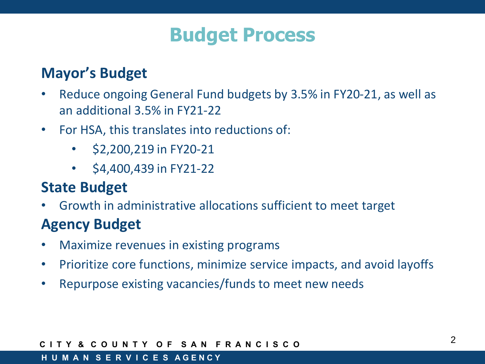# **Budget Process**

## **Mayor's Budget**

- Reduce ongoing General Fund budgets by 3.5% in FY20-21, as well as an additional 3.5% in FY21-22
- For HSA, this translates into reductions of:
	- \$2,200,219 in FY20-21
	- $\cdot$  \$4,400,439 in FY21-22

## **State Budget**

• Growth in administrative allocations sufficient to meet target

## **Agency Budget**

- Maximize revenues in existing programs
- Prioritize core functions, minimize service impacts, and avoid layoffs
- Repurpose existing vacancies/funds to meet new needs

#### **C I T Y & C O U N T Y O F S A N F R A N C I S C O**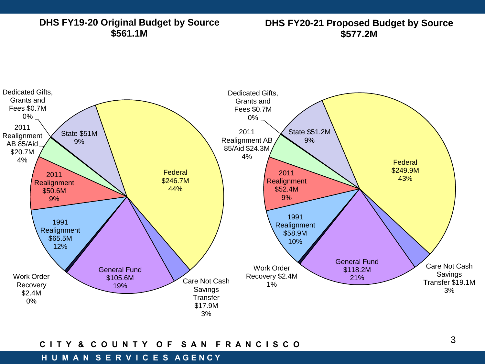#### **DHS FY19-20 Original Budget by Source \$561.1M**

#### **DHS FY20-21 Proposed Budget by Source \$577.2M**



#### **C I T Y & C O U N T Y O F S A N F R A N C I S C O**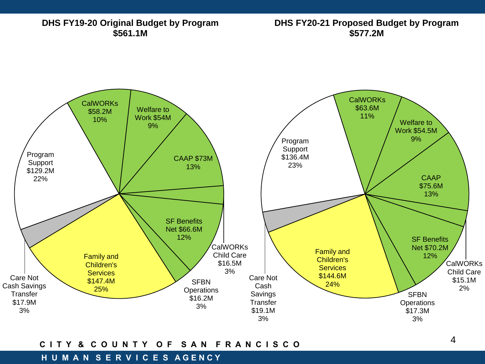

#### **C I T Y & C O U N T Y O F S A N F R A N C I S C O**

#### **H U M A N S E R V I C E S A G E N C Y**

4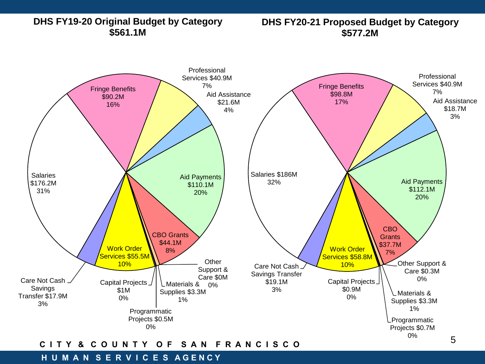**DHS FY19-20 Original Budget by Category \$561.1M**

**DHS FY20-21 Proposed Budget by Category \$577.2M**



#### **C I T Y & C O U N T Y O F S A N F R A N C I S C O**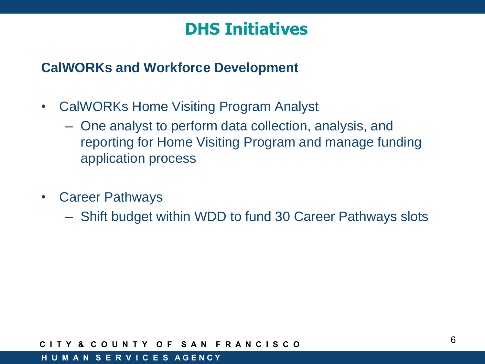## **DHS Initiatives**

### **CalWORKs and Workforce Development**

- CalWORKs Home Visiting Program Analyst
	- One analyst to perform data collection, analysis, and reporting for Home Visiting Program and manage funding application process
- Career Pathways
	- Shift budget within WDD to fund 30 Career Pathways slots

#### **C I T Y & C O U N T Y O F S A N F R A N C I S C O**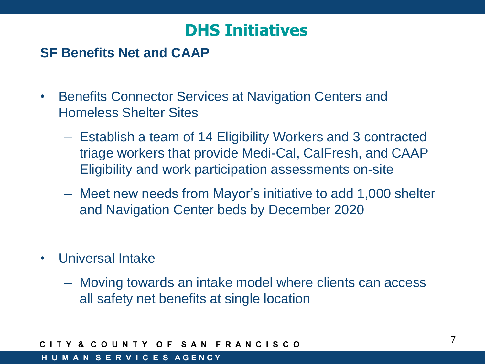## **DHS Initiatives**

### **SF Benefits Net and CAAP**

- Benefits Connector Services at Navigation Centers and Homeless Shelter Sites
	- Establish a team of 14 Eligibility Workers and 3 contracted triage workers that provide Medi-Cal, CalFresh, and CAAP Eligibility and work participation assessments on-site
	- Meet new needs from Mayor's initiative to add 1,000 shelter and Navigation Center beds by December 2020
- Universal Intake
	- Moving towards an intake model where clients can access all safety net benefits at single location

#### **C I T Y & C O U N T Y O F S A N F R A N C I S C O**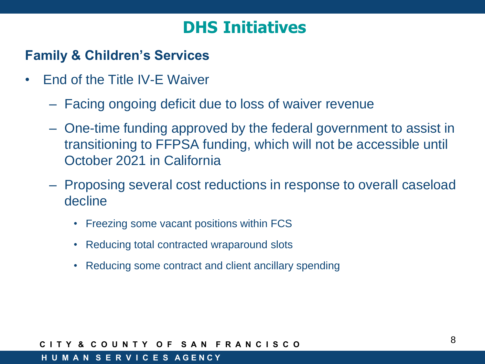## **DHS Initiatives**

### **Family & Children's Services**

- End of the Title IV-E Waiver
	- Facing ongoing deficit due to loss of waiver revenue
	- One-time funding approved by the federal government to assist in transitioning to FFPSA funding, which will not be accessible until October 2021 in California
	- Proposing several cost reductions in response to overall caseload decline
		- Freezing some vacant positions within FCS
		- Reducing total contracted wraparound slots
		- Reducing some contract and client ancillary spending

#### **C I T Y & C O U N T Y O F S A N F R A N C I S C O**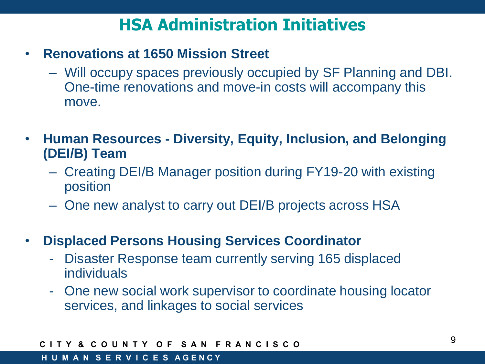## **HSA Administration Initiatives**

- **Renovations at 1650 Mission Street**
	- Will occupy spaces previously occupied by SF Planning and DBI. One-time renovations and move-in costs will accompany this move.
- **Human Resources - Diversity, Equity, Inclusion, and Belonging (DEI/B) Team**
	- Creating DEI/B Manager position during FY19-20 with existing position
	- One new analyst to carry out DEI/B projects across HSA
- **Displaced Persons Housing Services Coordinator**
	- Disaster Response team currently serving 165 displaced individuals
	- One new social work supervisor to coordinate housing locator services, and linkages to social services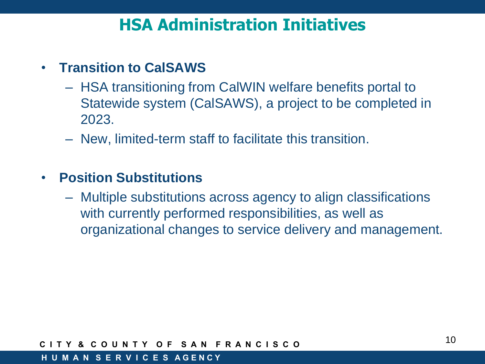## **HSA Administration Initiatives**

### • **Transition to CalSAWS**

- HSA transitioning from CalWIN welfare benefits portal to Statewide system (CalSAWS), a project to be completed in 2023.
- New, limited-term staff to facilitate this transition.

### • **Position Substitutions**

– Multiple substitutions across agency to align classifications with currently performed responsibilities, as well as organizational changes to service delivery and management.

#### **C I T Y & C O U N T Y O F S A N F R A N C I S C O**